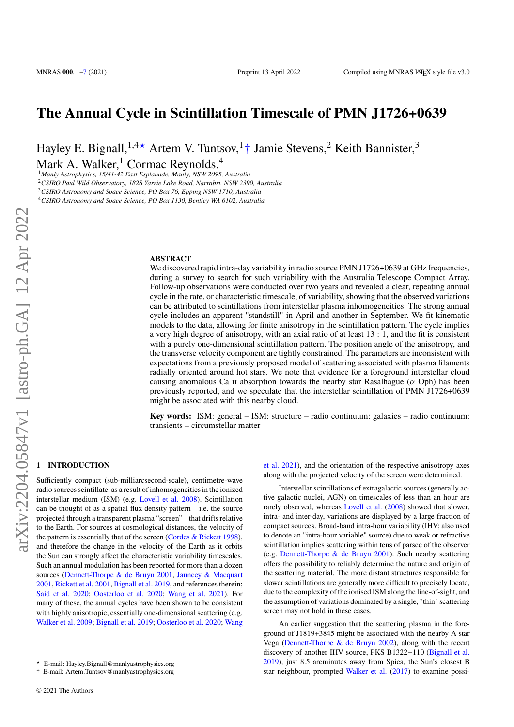# **The Annual Cycle in Scintillation Timescale of PMN J1726+0639**

Hayley E. Bignall,<sup>1,4★</sup> Artem V. Tuntsov,<sup>1</sup>† Jamie Stevens,<sup>2</sup> Keith Bannister,<sup>3</sup>

Mark A. Walker, $<sup>1</sup>$  Cormac Reynolds.<sup>4</sup></sup>

*Manly Astrophysics, 15/41-42 East Esplanade, Manly, NSW 2095, Australia CSIRO Paul Wild Observatory, 1828 Yarrie Lake Road, Narrabri, NSW 2390, Australia CSIRO Astronomy and Space Science, PO Box 76, Epping NSW 1710, Australia CSIRO Astronomy and Space Science, PO Box 1130, Bentley WA 6102, Australia*

#### **ABSTRACT**

We discovered rapid intra-day variability in radio source PMN J1726+0639 at GHz frequencies, during a survey to search for such variability with the Australia Telescope Compact Array. Follow-up observations were conducted over two years and revealed a clear, repeating annual cycle in the rate, or characteristic timescale, of variability, showing that the observed variations can be attributed to scintillations from interstellar plasma inhomogeneities. The strong annual cycle includes an apparent "standstill" in April and another in September. We fit kinematic models to the data, allowing for finite anisotropy in the scintillation pattern. The cycle implies a very high degree of anisotropy, with an axial ratio of at least 13 : 1, and the fit is consistent with a purely one-dimensional scintillation pattern. The position angle of the anisotropy, and the transverse velocity component are tightly constrained. The parameters are inconsistent with expectations from a previously proposed model of scattering associated with plasma filaments radially oriented around hot stars. We note that evidence for a foreground interstellar cloud causing anomalous Ca  $\pi$  absorption towards the nearby star Rasalhague ( $\alpha$  Oph) has been previously reported, and we speculate that the interstellar scintillation of PMN J1726+0639 might be associated with this nearby cloud.

**Key words:** ISM: general – ISM: structure – radio continuum: galaxies – radio continuum: transients – circumstellar matter

# <span id="page-0-0"></span>**1 INTRODUCTION**

Sufficiently compact (sub-milliarcsecond-scale), centimetre-wave radio sources scintillate, as a result of inhomogeneities in the ionized interstellar medium (ISM) (e.g. [Lovell et al.](#page-6-1) [2008\)](#page-6-1). Scintillation can be thought of as a spatial flux density pattern  $-$  i.e. the source projected through a transparent plasma "screen" – that drifts relative to the Earth. For sources at cosmological distances, the velocity of the pattern is essentially that of the screen (Cordes  $& Rickett$  [1998\)](#page-6-2), and therefore the change in the velocity of the Earth as it orbits the Sun can strongly affect the characteristic variability timescales. Such an annual modulation has been reported for more than a dozen sources [\(Dennett-Thorpe & de Bruyn](#page-6-3) [2001,](#page-6-3) [Jauncey & Macquart](#page-6-4) [2001,](#page-6-4) [Rickett et al.](#page-6-5) [2001,](#page-6-5) [Bignall et al.](#page-6-6) [2019,](#page-6-6) and references therein; [Said et al.](#page-6-7) [2020;](#page-6-7) [Oosterloo et al.](#page-6-8) [2020;](#page-6-8) [Wang et al.](#page-6-9) [2021\)](#page-6-9). For many of these, the annual cycles have been shown to be consistent with highly anisotropic, essentially one-dimensional scattering (e.g. [Walker et al.](#page-6-10) [2009;](#page-6-10) [Bignall et al.](#page-6-6) [2019;](#page-6-6) [Oosterloo et al.](#page-6-8) [2020;](#page-6-8) [Wang](#page-6-9) [et al.](#page-6-9) [2021\)](#page-6-9), and the orientation of the respective anisotropy axes along with the projected velocity of the screen were determined.

Interstellar scintillations of extragalactic sources (generally active galactic nuclei, AGN) on timescales of less than an hour are rarely observed, whereas [Lovell et al.](#page-6-1) [\(2008\)](#page-6-1) showed that slower, intra- and inter-day, variations are displayed by a large fraction of compact sources. Broad-band intra-hour variability (IHV; also used to denote an "intra-hour variable" source) due to weak or refractive scintillation implies scattering within tens of parsec of the observer (e.g. [Dennett-Thorpe & de Bruyn](#page-6-3) [2001\)](#page-6-3). Such nearby scattering offers the possibility to reliably determine the nature and origin of the scattering material. The more distant structures responsible for slower scintillations are generally more difficult to precisely locate, due to the complexity of the ionised ISM along the line-of-sight, and the assumption of variations dominated by a single, "thin" scattering screen may not hold in these cases.

An earlier suggestion that the scattering plasma in the foreground of J1819+3845 might be associated with the nearby A star Vega [\(Dennett-Thorpe & de Bruyn](#page-6-11) [2002\)](#page-6-11), along with the recent discovery of another IHV source, PKS B1322−110 [\(Bignall et al.](#page-6-6) [2019\)](#page-6-6), just 8.5 arcminutes away from Spica, the Sun's closest B star neighbour, prompted [Walker et al.](#page-6-12) [\(2017\)](#page-6-12) to examine possi-

<sup>★</sup> [E-mail: Hayley.Bignall@manlyastrophysics.org](#page-6-9)

<sup>†</sup> [E-mail: Artem.Tuntsov@manlyastrophysics.org](#page-6-9)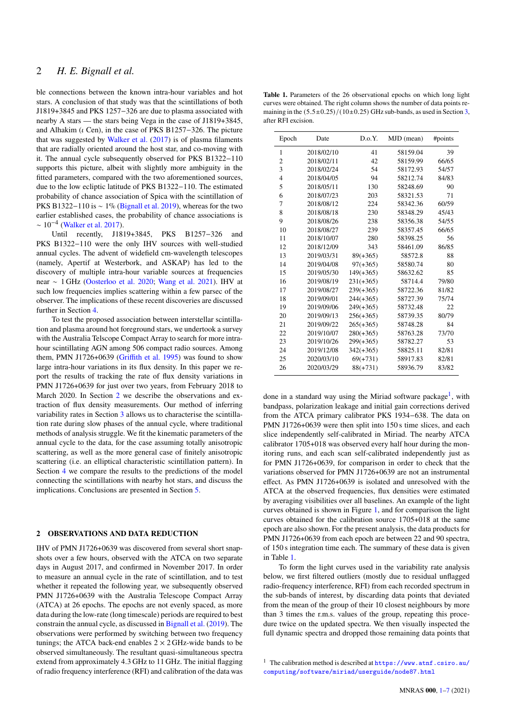ble connections between the known intra-hour variables and hot stars. A conclusion of that study was that the scintillations of both J1819+3845 and PKS 1257−326 are due to plasma associated with nearby A stars — the stars being Vega in the case of J1819+3845, and Alhakim ( $\iota$  Cen), in the case of PKS B1257–326. The picture that was suggested by [Walker et al.](#page-6-12) [\(2017\)](#page-6-12) is of plasma filaments that are radially oriented around the host star, and co-moving with it. The annual cycle subsequently observed for PKS B1322−110 supports this picture, albeit with slightly more ambiguity in the fitted parameters, compared with the two aforementioned sources, due to the low ecliptic latitude of PKS B1322−110. The estimated probability of chance association of Spica with the scintillation of PKS B1322−110 is ∼ 1% [\(Bignall et al.](#page-6-6) [2019\)](#page-6-6), whereas for the two earlier established cases, the probability of chance associations is  $\sim 10^{-4}$  [\(Walker et al.](#page-6-12) [2017\)](#page-6-12).

Until recently, J1819+3845, PKS B1257−326 and PKS B1322−110 were the only IHV sources with well-studied annual cycles. The advent of widefield cm-wavelength telescopes (namely, Apertif at Westerbork, and ASKAP) has led to the discovery of multiple intra-hour variable sources at frequencies near ∼ 1 GHz [\(Oosterloo et al.](#page-6-8) [2020;](#page-6-8) [Wang et al.](#page-6-9) [2021\)](#page-6-9). IHV at such low frequencies implies scattering within a few parsec of the observer. The implications of these recent discoveries are discussed further in Section [4.](#page-4-0)

To test the proposed association between interstellar scintillation and plasma around hot foreground stars, we undertook a survey with the Australia Telscope Compact Array to search for more intrahour scintillating AGN among 506 compact radio sources. Among them, PMN J1726+0639 [\(Griffith et al.](#page-6-13) [1995\)](#page-6-13) was found to show large intra-hour variations in its flux density. In this paper we report the results of tracking the rate of flux density variations in PMN J1726+0639 for just over two years, from February 2018 to March 2020. In Section [2](#page-1-0) we describe the observations and extraction of flux density measurements. Our method of inferring variability rates in Section [3](#page-2-0) allows us to characterise the scintillation rate during slow phases of the annual cycle, where traditional methods of analysis struggle. We fit the kinematic parameters of the annual cycle to the data, for the case assuming totally anisotropic scattering, as well as the more general case of finitely anisotropic scattering (i.e. an elliptical characteristic scintillation pattern). In Section [4](#page-4-0) we compare the results to the predictions of the model connecting the scintillations with nearby hot stars, and discuss the implications. Conclusions are presented in Section [5.](#page-6-0)

# <span id="page-1-0"></span>**2 OBSERVATIONS AND DATA REDUCTION**

IHV of PMN J1726+0639 was discovered from several short snapshots over a few hours, observed with the ATCA on two separate days in August 2017, and confirmed in November 2017. In order to measure an annual cycle in the rate of scintillation, and to test whether it repeated the following year, we subsequently observed PMN J1726+0639 with the Australia Telescope Compact Array (ATCA) at 26 epochs. The epochs are not evenly spaced, as more data during the low-rate (long timescale) periods are required to best constrain the annual cycle, as discussed in [Bignall et al.](#page-6-6) [\(2019\)](#page-6-6). The observations were performed by switching between two frequency tunings; the ATCA back-end enables  $2 \times 2$  GHz-wide bands to be observed simultaneously. The resultant quasi-simultaneous spectra extend from approximately 4.3 GHz to 11 GHz. The initial flagging of radio frequency interference (RFI) and calibration of the data was

<span id="page-1-2"></span>**Table 1.** Parameters of the 26 observational epochs on which long light curves were obtained. The right column shows the number of data points remaining in the  $(5.5\pm0.25)/(10\pm0.25)$  GHz sub-bands, as used in Section [3,](#page-2-0) after RFI excision.

| Epoch          | Date       | D.o.Y.      | MJD (mean) | #points |
|----------------|------------|-------------|------------|---------|
| 1              | 2018/02/10 | 41          | 58159.04   | 39      |
| $\overline{2}$ | 2018/02/11 | 42          | 58159.99   | 66/65   |
| 3              | 2018/02/24 | 54          | 58172.93   | 54/57   |
| $\overline{4}$ | 2018/04/05 | 94          | 58212.74   | 84/83   |
| 5              | 2018/05/11 | 130         | 58248.69   | 90      |
| 6              | 2018/07/23 | 203         | 58321.53   | 71      |
| 7              | 2018/08/12 | 224         | 58342.36   | 60/59   |
| 8              | 2018/08/18 | 230         | 58348.29   | 45/43   |
| 9              | 2018/08/26 | 238         | 58356.38   | 54/55   |
| 10             | 2018/08/27 | 239         | 58357.45   | 66/65   |
| 11             | 2018/10/07 | 280         | 58398.25   | 56      |
| 12             | 2018/12/09 | 343         | 58461.09   | 86/85   |
| 13             | 2019/03/31 | $89(+365)$  | 58572.8    | 88      |
| 14             | 2019/04/08 | $97(+365)$  | 58580.74   | 80      |
| 15             | 2019/05/30 | $149(+365)$ | 58632.62   | 85      |
| 16             | 2019/08/19 | $231(+365)$ | 58714.4    | 79/80   |
| 17             | 2019/08/27 | $239(+365)$ | 58722.36   | 81/82   |
| 18             | 2019/09/01 | $244(+365)$ | 58727.39   | 75/74   |
| 19             | 2019/09/06 | $249(+365)$ | 58732.48   | 22      |
| 20             | 2019/09/13 | $256(+365)$ | 58739.35   | 80/79   |
| 21             | 2019/09/22 | $265(+365)$ | 58748.28   | 84      |
| 22             | 2019/10/07 | $280(+365)$ | 58763.28   | 73/70   |
| 23             | 2019/10/26 | $299(+365)$ | 58782.27   | 53      |
| 24             | 2019/12/08 | $342(+365)$ | 58825.11   | 82/81   |
| 25             | 2020/03/10 | $69(+731)$  | 58917.83   | 82/81   |
| 26             | 2020/03/29 | $88(+731)$  | 58936.79   | 83/82   |

done in a standard way using the Miriad software package<sup>[1](#page-1-1)</sup>, with bandpass, polarization leakage and initial gain corrections derived from the ATCA primary calibrator PKS 1934−638. The data on PMN J1726+0639 were then split into 150 s time slices, and each slice independently self-calibrated in Miriad. The nearby ATCA calibrator 1705+018 was observed every half hour during the monitoring runs, and each scan self-calibrated independently just as for PMN J1726+0639, for comparison in order to check that the variations observed for PMN J1726+0639 are not an instrumental effect. As PMN J1726+0639 is isolated and unresolved with the ATCA at the observed frequencies, flux densities were estimated by averaging visibilities over all baselines. An example of the light curves obtained is shown in Figure [1,](#page-2-1) and for comparison the light curves obtained for the calibration source 1705+018 at the same epoch are also shown. For the present analysis, the data products for PMN J1726+0639 from each epoch are between 22 and 90 spectra, of 150 s integration time each. The summary of these data is given in Table [1.](#page-1-2)

To form the light curves used in the variability rate analysis below, we first filtered outliers (mostly due to residual unflagged radio-frequency interference, RFI) from each recorded spectrum in the sub-bands of interest, by discarding data points that deviated from the mean of the group of their 10 closest neighbours by more than 3 times the r.m.s. values of the group, repeating this procedure twice on the updated spectra. We then visually inspected the full dynamic spectra and dropped those remaining data points that

<span id="page-1-1"></span><sup>1</sup> The calibration method is described at [https://www.atnf.csiro.au/]( https://www.atnf.csiro.au/computing/software/miriad/userguide/node87.html) [computing/software/miriad/userguide/node87.html]( https://www.atnf.csiro.au/computing/software/miriad/userguide/node87.html)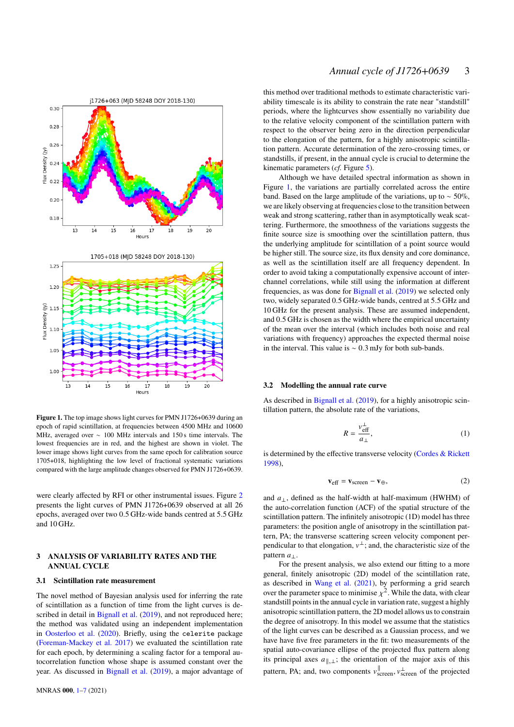

<span id="page-2-1"></span>**Figure 1.** The top image shows light curves for PMN J1726+0639 during an epoch of rapid scintillation, at frequencies between 4500 MHz and 10600 MHz, averaged over ∼ 100 MHz intervals and 150 s time intervals. The lowest frequencies are in red, and the highest are shown in violet. The lower image shows light curves from the same epoch for calibration source 1705+018, highlighting the low level of fractional systematic variations compared with the large amplitude changes observed for PMN J1726+0639.

were clearly affected by RFI or other instrumental issues. Figure [2](#page-3-0) presents the light curves of PMN J1726+0639 observed at all 26 epochs, averaged over two 0.5 GHz-wide bands centred at 5.5 GHz and 10 GHz.

# <span id="page-2-0"></span>**3 ANALYSIS OF VARIABILITY RATES AND THE ANNUAL CYCLE**

#### **3.1 Scintillation rate measurement**

The novel method of Bayesian analysis used for inferring the rate of scintillation as a function of time from the light curves is de-scribed in detail in [Bignall et al.](#page-6-6) [\(2019\)](#page-6-6), and not reproduced here; the method was validated using an independent implementation in [Oosterloo et al.](#page-6-8) [\(2020\)](#page-6-8). Briefly, using the celerite package [\(Foreman-Mackey et al.](#page-6-14) [2017\)](#page-6-14) we evaluated the scintillation rate for each epoch, by determining a scaling factor for a temporal autocorrelation function whose shape is assumed constant over the year. As discussed in [Bignall et al.](#page-6-6) [\(2019\)](#page-6-6), a major advantage of

this method over traditional methods to estimate characteristic variability timescale is its ability to constrain the rate near "standstill" periods, where the lightcurves show essentially no variability due to the relative velocity component of the scintillation pattern with respect to the observer being zero in the direction perpendicular to the elongation of the pattern, for a highly anisotropic scintillation pattern. Accurate determination of the zero-crossing times, or standstills, if present, in the annual cycle is crucial to determine the kinematic parameters (*cf.* Figure [5\)](#page-5-0).

Although we have detailed spectral information as shown in Figure [1,](#page-2-1) the variations are partially correlated across the entire band. Based on the large amplitude of the variations, up to  $\sim$  50%, we are likely observing at frequencies close to the transition between weak and strong scattering, rather than in asymptotically weak scattering. Furthermore, the smoothness of the variations suggests the finite source size is smoothing over the scintillation pattern, thus the underlying amplitude for scintillation of a point source would be higher still. The source size, its flux density and core dominance, as well as the scintillation itself are all frequency dependent. In order to avoid taking a computationally expensive account of interchannel correlations, while still using the information at different frequencies, as was done for [Bignall et al.](#page-6-6) [\(2019\)](#page-6-6) we selected only two, widely separated 0.5 GHz-wide bands, centred at 5.5 GHz and 10 GHz for the present analysis. These are assumed independent, and 0.5 GHz is chosen as the width where the empirical uncertainty of the mean over the interval (which includes both noise and real variations with frequency) approaches the expected thermal noise in the interval. This value is ∼ 0.3 mJy for both sub-bands.

#### **3.2 Modelling the annual rate curve**

As described in [Bignall et al.](#page-6-6) [\(2019\)](#page-6-6), for a highly anisotropic scintillation pattern, the absolute rate of the variations,

$$
R = \frac{v_{\text{eff}}^{\perp}}{a_{\perp}}\tag{1}
$$

is determined by the effective transverse velocity [\(Cordes & Rickett](#page-6-2) [1998\)](#page-6-2),

$$
\mathbf{v}_{\text{eff}} = \mathbf{v}_{\text{screen}} - \mathbf{v}_{\oplus},\tag{2}
$$

and  $a_{\perp}$ , defined as the half-width at half-maximum (HWHM) of the auto-correlation function (ACF) of the spatial structure of the scintillation pattern. The infinitely anisotropic (1D) model has three parameters: the position angle of anisotropy in the scintillation pattern, PA; the transverse scattering screen velocity component perpendicular to that elongation,  $v^{\perp}$ ; and, the characteristic size of the pattern  $a_{\perp}$ .

For the present analysis, we also extend our fitting to a more general, finitely anisotropic (2D) model of the scintillation rate, as described in [Wang et al.](#page-6-9) [\(2021\)](#page-6-9), by performing a grid search over the parameter space to minimise  $y^2$ . While the data, with clear standstill points in the annual cycle in variation rate, suggest a highly anisotropic scintillation pattern, the 2D model allows us to constrain the degree of anisotropy. In this model we assume that the statistics of the light curves can be described as a Gaussian process, and we have have five free parameters in the fit: two measurements of the spatial auto-covariance ellipse of the projected flux pattern along its principal axes  $k(x)$ , the orientation of the major axis of this pattern, PA; and, two components  $v_{\text{screen}}^{\parallel}, v_{\text{screen}}^{\perp}$  of the projected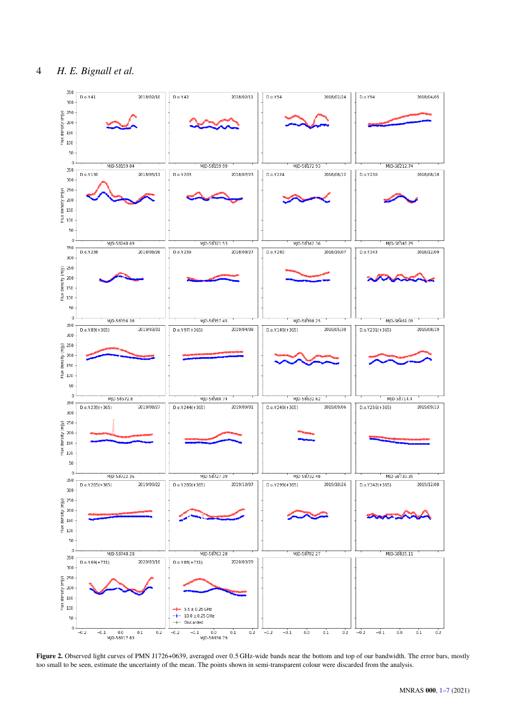

<span id="page-3-0"></span>**Figure 2.** Observed light curves of PMN J1726+0639, averaged over 0.5 GHz-wide bands near the bottom and top of our bandwidth. The error bars, mostly too small to be seen, estimate the uncertainty of the mean. The points shown in semi-transparent colour were discarded from the analysis.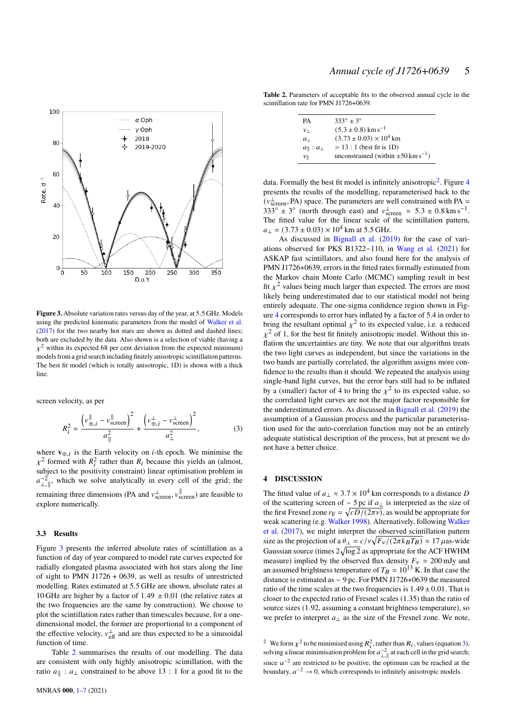

<span id="page-4-1"></span>**Figure 3.** Absolute variation rates versus day of the year, at 5.5 GHz. Models using the predicted kinematic parameters from the model of [Walker et al.](#page-6-12) [\(2017\)](#page-6-12) for the two nearby hot stars are shown as dotted and dashed lines; both are excluded by the data. Also shown is a selection of viable (having a  $\chi^2$  within its expected 68 per cent deviation from the expected minimum) models from a grid search including finitely anisotropic scintillation patterns. The best fit model (which is totally anisotropic, 1D) is shown with a thick line.

screen velocity, as per

<span id="page-4-4"></span>
$$
R_{i}^{2} = \frac{\left(v_{\oplus,i}^{\parallel} - v_{\text{screen}}^{\parallel}\right)^{2}}{a_{\parallel}^{2}} + \frac{\left(v_{\oplus,i}^{\perp} - v_{\text{screen}}^{\perp}\right)^{2}}{a_{\perp}^{2}},
$$
(3)

where  $\mathbf{v}_{\oplus,i}$  is the Earth velocity on *i*-th epoch. We minimise the  $\chi^2$  formed with  $R_i^2$  rather than  $R_i$  because this yields an (almost, subject to the positivity constraint) linear optimisation problem in  $a_{\perp, \parallel}^{-2}$ , which we solve analytically in every cell of the grid; the remaining three dimensions (PA and  $v_{\text{screen}}^{\perp}$ ,  $v_{\text{screen}}^{\parallel}$ ) are feasible to

explore numerically.

## **3.3 Results**

Figure [3](#page-4-1) presents the inferred absolute rates of scintillation as a function of day of year compared to model rate curves expected for radially elongated plasma associated with hot stars along the line of sight to PMN J1726 + 0639, as well as results of unrestricted modelling. Rates estimated at 5.5 GHz are shown, absolute rates at 10 GHz are higher by a factor of 1.49  $\pm$  0.01 (the relative rates at the two frequencies are the same by construction). We choose to plot the scintillation rates rather than timescales because, for a onedimensional model, the former are proportional to a component of the effective velocity,  $v_{\text{eff}}^{\perp}$  and are thus expected to be a sinusoidal function of time.

Table [2](#page-4-2) summarises the results of our modelling. The data are consistent with only highly anisotropic scintillation, with the ratio  $a_{\parallel}$ :  $a_{\perp}$  constrained to be above 13 : 1 for a good fit to the

<span id="page-4-2"></span>**Table 2.** Parameters of acceptable fits to the observed annual cycle in the scintillation rate for PMN J1726+0639.

| PА                            | $333^{\circ} \pm 3^{\circ}$                              |
|-------------------------------|----------------------------------------------------------|
| $v_{\perp}$                   | $(5.3 \pm 0.8)$ km s <sup>-1</sup>                       |
| $a_{\perp}$                   | $(3.73 \pm 0.03) \times 10^4$ km                         |
| $a_{\parallel}$ : $a_{\perp}$ | $> 13:1$ (best fit is 1D)                                |
| $\nu_{\parallel}$             | unconstrained (within $\pm 50 \,\mathrm{km \, s^{-1}}$ ) |

data. Formally the best fit model is infinitely anisotropic<sup>[2](#page-4-3)</sup>. Figure [4](#page-5-1) presents the results of the modelling, reparameterised back to the  $(\nu_{\rm screen}^{\perp}, PA)$  space. The parameters are well constrained with PA =  $333^\circ \pm 3^\circ$  (north through east) and  $v_{\text{screen}}^{\perp} = 5.3 \pm 0.8 \text{ km s}^{-1}$ . The fitted value for the linear scale of the scintillation pattern,  $a_{\perp} = (3.73 \pm 0.03) \times 10^4$  km at 5.5 GHz.

As discussed in [Bignall et al.](#page-6-6) [\(2019\)](#page-6-6) for the case of variations observed for PKS B1322−110, in [Wang et al.](#page-6-9) [\(2021\)](#page-6-9) for ASKAP fast scintillators, and also found here for the analysis of PMN J1726+0639, errors in the fitted rates formally estimated from the Markov chain Monte Carlo (MCMC) sampling result in best fit  $y^2$  values being much larger than expected. The errors are most likely being underestimated due to our statistical model not being entirely adequate. The one-sigma confidence region shown in Figure [4](#page-5-1) corresponds to error bars inflated by a factor of 5.4 in order to bring the resultant optimal  $y^2$  to its expected value, i.e. a reduced  $x^2$  of 1, for the best fit finitely anisotropic model. Without this inflation the uncertainties are tiny. We note that our algorithm treats the two light curves as independent, but since the variations in the two bands are partially correlated, the algorithm assigns more confidence to the results than it should. We repeated the analysis using single-band light curves, but the error bars still had to be inflated by a (smaller) factor of 4 to bring the  $x^2$  to its expected value, so the correlated light curves are not the major factor responsible for the underestimated errors. As discussed in [Bignall et al.](#page-6-6) [\(2019\)](#page-6-6) the assumption of a Gaussian process and the particular parameterisation used for the auto-correlation function may not be an entirely adequate statistical description of the process, but at present we do not have a better choice.

## <span id="page-4-0"></span>**4 DISCUSSION**

The fitted value of  $a_{\perp} \approx 3.7 \times 10^4$  km corresponds to a distance D of the scattering screen of  $\sim$  5 pc if  $a_{\perp}$  is interpreted as the size of the first Fresnel zone  $r_F = \sqrt{cD/(2\pi\nu)}$ , as would be appropriate for weak scattering (e.g. [Walker](#page-6-15) [1998\)](#page-6-15). Alternatively, following [Walker](#page-6-12) [et al.](#page-6-12) [\(2017\)](#page-6-12), we might interpret the observed scintillation pattern size as the projection of a  $\theta_{\perp} = c/v\sqrt{F_v/(2\pi k_B T_B)} \approx 17 \,\mu$ as-wide Gaussian source (times  $2\sqrt{\log 2}$  as appropriate for the ACF HWHM measure) implied by the observed flux density  $F_v \approx 200$  mJy and an assumed brightness temperature of  $T_B = 10^{13}$  K. In that case the distance is estimated as ∼ 9 pc. For PMN J1726+0639 the measured ratio of the time scales at the two frequencies is  $1.49 \pm 0.01$ . That is closer to the expected ratio of Fresnel scales (1.35) than the ratio of source sizes (1.92, assuming a constant brightness temperature), so we prefer to interpret  $a_{\perp}$  as the size of the Fresnel zone. We note,

<span id="page-4-3"></span><sup>2</sup> We form  $\chi^2$  to be minimised using  $R_i^2$ , rather than  $R_i$ , values (equation [3\)](#page-4-4), solving a linear minimisation problem for  $a_{\perp}^{-2}$  at each cell in the grid search; since  $a^{-2}$  are restricted to be positive, the optimum can be reached at the boundary,  $a^{-2} \rightarrow 0$ , which corresponds to infinitely anisotropic models.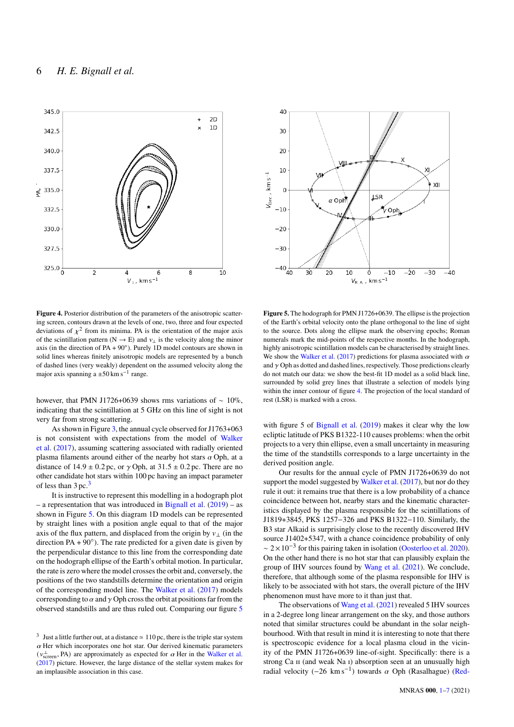

<span id="page-5-1"></span>**Figure 4.** Posterior distribution of the parameters of the anisotropic scattering screen, contours drawn at the levels of one, two, three and four expected deviations of  $x^2$  from its minima. PA is the orientation of the major axis of the scintillation pattern ( $N \rightarrow E$ ) and  $\nu_{\perp}$  is the velocity along the minor axis (in the direction of  $PA + 90°$ ). Purely 1D model contours are shown in solid lines whereas finitely anisotropic models are represented by a bunch of dashed lines (very weakly) dependent on the assumed velocity along the major axis spanning a  $\pm 50$  km s<sup>-1</sup> range.

however, that PMN J1726+0639 shows rms variations of ∼ 10%, indicating that the scintillation at 5 GHz on this line of sight is not very far from strong scattering.

As shown in Figure [3,](#page-4-1) the annual cycle observed for J1763+063 is not consistent with expectations from the model of [Walker](#page-6-12) [et al.](#page-6-12) [\(2017\)](#page-6-12), assuming scattering associated with radially oriented plasma filaments around either of the nearby hot stars  $\alpha$  Oph, at a distance of  $14.9 \pm 0.2$  pc, or  $\gamma$  Oph, at  $31.5 \pm 0.2$  pc. There are no other candidate hot stars within 100 pc having an impact parameter of less than  $3 \text{ pc}$  $3 \text{ pc}$ .<sup>3</sup>

It is instructive to represent this modelling in a hodograph plot – a representation that was introduced in [Bignall et al.](#page-6-6)  $(2019)$  – as shown in Figure [5.](#page-5-0) On this diagram 1D models can be represented by straight lines with a position angle equal to that of the major axis of the flux pattern, and displaced from the origin by  $v_{\perp}$  (in the direction PA +  $90^\circ$ ). The rate predicted for a given date is given by the perpendicular distance to this line from the corresponding date on the hodograph ellipse of the Earth's orbital motion. In particular, the rate is zero where the model crosses the orbit and, conversely, the positions of the two standstills determine the orientation and origin of the corresponding model line. The [Walker et al.](#page-6-12) [\(2017\)](#page-6-12) models corresponding to  $\alpha$  and  $\gamma$  Oph cross the orbit at positions far from the observed standstills and are thus ruled out. Comparing our figure [5](#page-5-0)



<span id="page-5-0"></span>**Figure 5.** The hodograph for PMN J1726+0639. The ellipse is the projection of the Earth's orbital velocity onto the plane orthogonal to the line of sight to the source. Dots along the ellipse mark the observing epochs; Roman numerals mark the mid-points of the respective months. In the hodograph, highly anisotropic scintillation models can be characterised by straight lines. We show the [Walker et al.](#page-6-12) [\(2017\)](#page-6-12) predictions for plasma associated with  $\alpha$ and  $\gamma$  Oph as dotted and dashed lines, respectively. Those predictions clearly do not match our data: we show the best-fit 1D model as a solid black line, surrounded by solid grey lines that illustrate a selection of models lying within the inner contour of figure [4.](#page-5-1) The projection of the local standard of rest (LSR) is marked with a cross.

with figure 5 of [Bignall et al.](#page-6-6) [\(2019\)](#page-6-6) makes it clear why the low ecliptic latitude of PKS B1322-110 causes problems: when the orbit projects to a very thin ellipse, even a small uncertainty in measuring the time of the standstills corresponds to a large uncertainty in the derived position angle.

Our results for the annual cycle of PMN J1726+0639 do not support the model suggested by [Walker et al.](#page-6-12) [\(2017\)](#page-6-12), but nor do they rule it out: it remains true that there is a low probability of a chance coincidence between hot, nearby stars and the kinematic characteristics displayed by the plasma responsible for the scintillations of J1819+3845, PKS 1257−326 and PKS B1322−110. Similarly, the B3 star Alkaid is surprisingly close to the recently discovered IHV source J1402+5347, with a chance coincidence probability of only  $\sim 2 \times 10^{-3}$  for this pairing taken in isolation [\(Oosterloo et al.](#page-6-8) [2020\)](#page-6-8). On the other hand there is no hot star that can plausibly explain the group of IHV sources found by [Wang et al.](#page-6-9) [\(2021\)](#page-6-9). We conclude, therefore, that although some of the plasma responsible for IHV is likely to be associated with hot stars, the overall picture of the IHV phenomenon must have more to it than just that.

The observations of [Wang et al.](#page-6-9) [\(2021\)](#page-6-9) revealed 5 IHV sources in a 2-degree long linear arrangement on the sky, and those authors noted that similar structures could be abundant in the solar neighbourhood. With that result in mind it is interesting to note that there is spectroscopic evidence for a local plasma cloud in the vicinity of the PMN J1726+0639 line-of-sight. Specifically: there is a strong Ca II (and weak Na I) absorption seen at an unusually high radial velocity  $(-26 \text{ km s}^{-1})$  towards  $\alpha$  Oph (Rasalhague) [\(Red-](#page-6-16)

<span id="page-5-2"></span><sup>&</sup>lt;sup>3</sup> Just a little further out, at a distance  $\simeq 110$  pc, there is the triple star system  $\alpha$  Her which incorporates one hot star. Our derived kinematic parameters  $(v_{\text{screen}}^{\perp}, PA)$  are approximately as expected for  $\alpha$  Her in the [Walker et al.](#page-6-12) [\(2017\)](#page-6-12) picture. However, the large distance of the stellar system makes for an implausible association in this case.